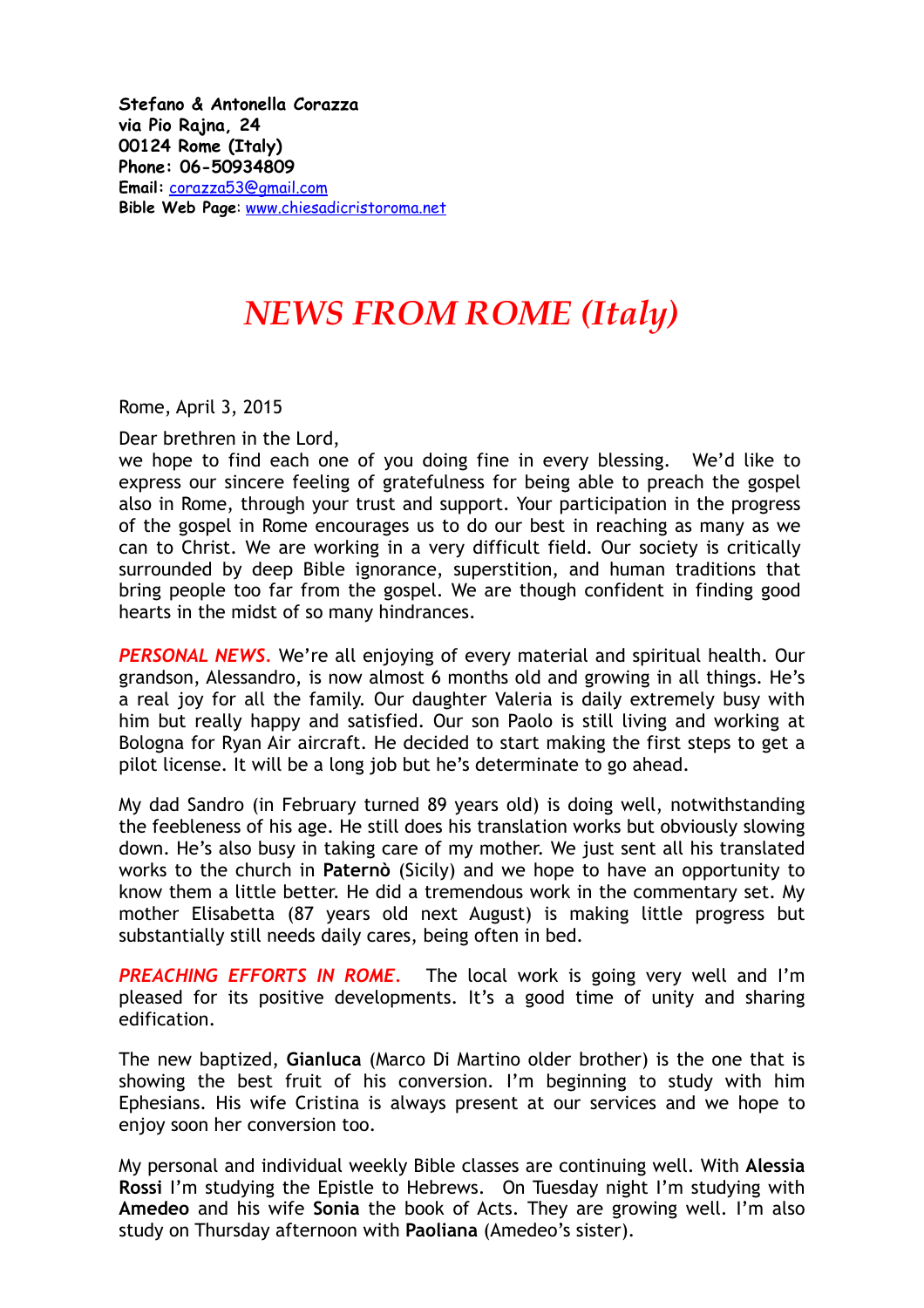**Stefano & Antonella Corazza via Pio Rajna, 24 00124 Rome (Italy) Phone: 06-50934809 Email:** [corazza53@gmail.com](mailto:corazza53@gmail.com) **Bible Web Page**: [www.chiesadicristoroma.net](http://www.chiesadicristoroma.net)

## *NEWS FROM ROME (Italy)*

Rome, April 3, 2015

Dear brethren in the Lord,

we hope to find each one of you doing fine in every blessing. We'd like to express our sincere feeling of gratefulness for being able to preach the gospel also in Rome, through your trust and support. Your participation in the progress of the gospel in Rome encourages us to do our best in reaching as many as we can to Christ. We are working in a very difficult field. Our society is critically surrounded by deep Bible ignorance, superstition, and human traditions that bring people too far from the gospel. We are though confident in finding good hearts in the midst of so many hindrances.

*PERSONAL NEWS.* We're all enjoying of every material and spiritual health. Our grandson, Alessandro, is now almost 6 months old and growing in all things. He's a real joy for all the family. Our daughter Valeria is daily extremely busy with him but really happy and satisfied. Our son Paolo is still living and working at Bologna for Ryan Air aircraft. He decided to start making the first steps to get a pilot license. It will be a long job but he's determinate to go ahead.

My dad Sandro (in February turned 89 years old) is doing well, notwithstanding the feebleness of his age. He still does his translation works but obviously slowing down. He's also busy in taking care of my mother. We just sent all his translated works to the church in **Paternò** (Sicily) and we hope to have an opportunity to know them a little better. He did a tremendous work in the commentary set. My mother Elisabetta (87 years old next August) is making little progress but substantially still needs daily cares, being often in bed.

**PREACHING EFFORTS IN ROME.** The local work is going very well and I'm pleased for its positive developments. It's a good time of unity and sharing edification.

The new baptized, **Gianluca** (Marco Di Martino older brother) is the one that is showing the best fruit of his conversion. I'm beginning to study with him Ephesians. His wife Cristina is always present at our services and we hope to enjoy soon her conversion too.

My personal and individual weekly Bible classes are continuing well. With **Alessia Rossi** I'm studying the Epistle to Hebrews. On Tuesday night I'm studying with **Amedeo** and his wife **Sonia** the book of Acts. They are growing well. I'm also study on Thursday afternoon with **Paoliana** (Amedeo's sister).